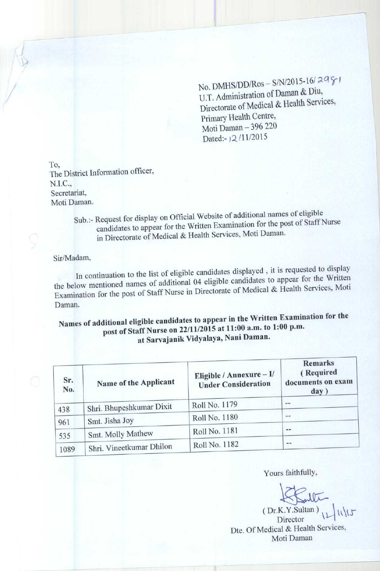No. DMHS/DD/Ros - S/N/2015-16/2981 U.T. Administration of Daman & Diu, Directorate of Medical & Health Services, Primary Health Centre, Moti Daman - 396 220 Dated:-12/11/2015

To, **The District Information officer,** N.I.C., **Secretariat, Moti Daman.**

> **Sub.:- Request for display on Official Website of additional names of eligible candidates to appear for the Written Examination for the post of Staff Nurse in Directorate of Medical & Health Services, Moti Daman.**

## Sir/Madam,

In continuation to the list of eligible candidates displayed , it is requested to display the below mentioned names of additional 04 eligible candidates to appear for the Written Examination for the post of Staff Nurse in Directorate of Medical & Health Services, Moti Daman.

## **post of Staff Nurse on 22/11/2015 at 11:00 a.m.** Exa**^ for the mination Names of additional eligible candidates to app** <sup>e</sup>**<sup>a</sup>** <sup>r</sup> i**n th**e **at Sarvajanik** Vidyalaya, **Nani Daman.**

| Sr.<br>No. | Name of the Applicant    | Eligible / Annexure $-V$<br><b>Under Consideration</b> | <b>Remarks</b><br>(Required<br>documents on exam<br>day) |
|------------|--------------------------|--------------------------------------------------------|----------------------------------------------------------|
| 438        | Shri. Bhupeshkumar Dixit | Roll No. 1179                                          | --                                                       |
| 961        | Smt. Jisha Joy           | Roll No. 1180                                          | $\frac{1}{2}$                                            |
| 535        | Smt. Molly Mathew        | Roll No. 1181                                          | $-$                                                      |
| 1089       | Shri. Vineetkumar Dhilon | Roll No. 1182                                          | $- -$                                                    |

Yours faithfully,

(Dr.K.Y.Sultan),  $11/15$ Director Dte. Of Medical & Health Services, Moti Daman